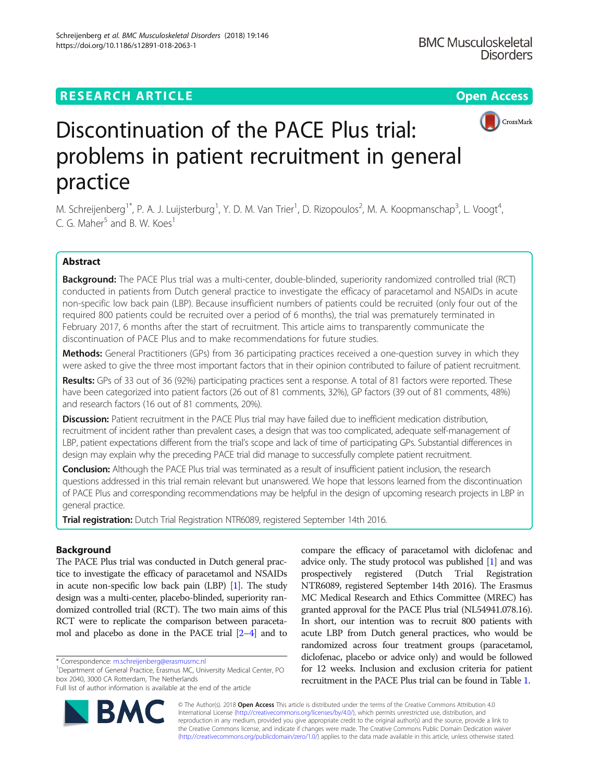## **RESEARCH ARTICLE Example 2014 12:30 The Contract of Contract ACCESS**



# Discontinuation of the PACE Plus trial: problems in patient recruitment in general practice

M. Schreijenberg<sup>1\*</sup>, P. A. J. Luijsterburg<sup>1</sup>, Y. D. M. Van Trier<sup>1</sup>, D. Rizopoulos<sup>2</sup>, M. A. Koopmanschap<sup>3</sup>, L. Voogt<sup>4</sup> ,  $C$ . G. Maher<sup>5</sup> and B. W. Koes<sup>1</sup>

## Abstract

Background: The PACE Plus trial was a multi-center, double-blinded, superiority randomized controlled trial (RCT) conducted in patients from Dutch general practice to investigate the efficacy of paracetamol and NSAIDs in acute non-specific low back pain (LBP). Because insufficient numbers of patients could be recruited (only four out of the required 800 patients could be recruited over a period of 6 months), the trial was prematurely terminated in February 2017, 6 months after the start of recruitment. This article aims to transparently communicate the discontinuation of PACE Plus and to make recommendations for future studies.

Methods: General Practitioners (GPs) from 36 participating practices received a one-question survey in which they were asked to give the three most important factors that in their opinion contributed to failure of patient recruitment.

Results: GPs of 33 out of 36 (92%) participating practices sent a response. A total of 81 factors were reported. These have been categorized into patient factors (26 out of 81 comments, 32%), GP factors (39 out of 81 comments, 48%) and research factors (16 out of 81 comments, 20%).

Discussion: Patient recruitment in the PACE Plus trial may have failed due to inefficient medication distribution, recruitment of incident rather than prevalent cases, a design that was too complicated, adequate self-management of LBP, patient expectations different from the trial's scope and lack of time of participating GPs. Substantial differences in design may explain why the preceding PACE trial did manage to successfully complete patient recruitment.

**Conclusion:** Although the PACE Plus trial was terminated as a result of insufficient patient inclusion, the research questions addressed in this trial remain relevant but unanswered. We hope that lessons learned from the discontinuation of PACE Plus and corresponding recommendations may be helpful in the design of upcoming research projects in LBP in general practice.

Trial registration: Dutch Trial Registration NTR6089, registered September 14th 2016.

## Background

The PACE Plus trial was conducted in Dutch general practice to investigate the efficacy of paracetamol and NSAIDs in acute non-specific low back pain (LBP) [\[1\]](#page-5-0). The study design was a multi-center, placebo-blinded, superiority randomized controlled trial (RCT). The two main aims of this RCT were to replicate the comparison between paracetamol and placebo as done in the PACE trial [[2](#page-5-0)–[4\]](#page-5-0) and to

<sup>1</sup>Department of General Practice, Erasmus MC, University Medical Center, PO box 2040, 3000 CA Rotterdam, The Netherlands

Full list of author information is available at the end of the article



© The Author(s). 2018 Open Access This article is distributed under the terms of the Creative Commons Attribution 4.0 International License [\(http://creativecommons.org/licenses/by/4.0/](http://creativecommons.org/licenses/by/4.0/)), which permits unrestricted use, distribution, and reproduction in any medium, provided you give appropriate credit to the original author(s) and the source, provide a link to the Creative Commons license, and indicate if changes were made. The Creative Commons Public Domain Dedication waiver [\(http://creativecommons.org/publicdomain/zero/1.0/](http://creativecommons.org/publicdomain/zero/1.0/)) applies to the data made available in this article, unless otherwise stated.



<sup>\*</sup> Correspondence: [m.schreijenberg@erasmusmc.nl](mailto:m.schreijenberg@erasmusmc.nl) <sup>1</sup>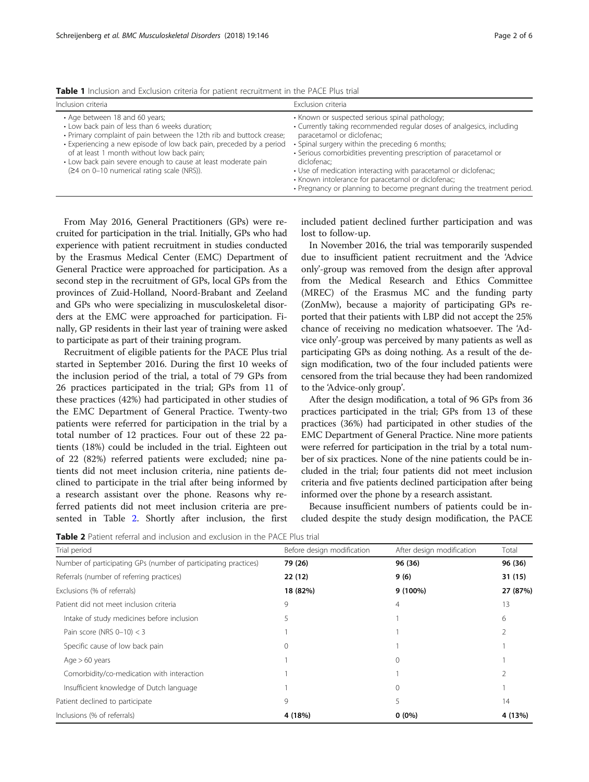| Inclusion criteria                                                                                                                                                                                                                                                                                                                                                                             | Exclusion criteria                                                                                                                                                                                                                                                                                                                                                                                                                                                                               |
|------------------------------------------------------------------------------------------------------------------------------------------------------------------------------------------------------------------------------------------------------------------------------------------------------------------------------------------------------------------------------------------------|--------------------------------------------------------------------------------------------------------------------------------------------------------------------------------------------------------------------------------------------------------------------------------------------------------------------------------------------------------------------------------------------------------------------------------------------------------------------------------------------------|
| • Age between 18 and 60 years;<br>• Low back pain of less than 6 weeks duration;<br>• Primary complaint of pain between the 12th rib and buttock crease;<br>• Experiencing a new episode of low back pain, preceded by a period<br>of at least 1 month without low back pain;<br>• Low back pain severe enough to cause at least moderate pain<br>$(24$ on 0-10 numerical rating scale (NRS)). | • Known or suspected serious spinal pathology;<br>• Currently taking recommended regular doses of analgesics, including<br>paracetamol or diclofenac;<br>• Spinal surgery within the preceding 6 months;<br>• Serious comorbidities preventing prescription of paracetamol or<br>diclofenac:<br>• Use of medication interacting with paracetamol or diclofenac;<br>• Known intolerance for paracetamol or diclofenac;<br>• Pregnancy or planning to become pregnant during the treatment period. |

<span id="page-1-0"></span>Table 1 Inclusion and Exclusion criteria for patient recruitment in the PACE Plus trial

From May 2016, General Practitioners (GPs) were recruited for participation in the trial. Initially, GPs who had experience with patient recruitment in studies conducted by the Erasmus Medical Center (EMC) Department of General Practice were approached for participation. As a second step in the recruitment of GPs, local GPs from the provinces of Zuid-Holland, Noord-Brabant and Zeeland and GPs who were specializing in musculoskeletal disorders at the EMC were approached for participation. Finally, GP residents in their last year of training were asked to participate as part of their training program.

Recruitment of eligible patients for the PACE Plus trial started in September 2016. During the first 10 weeks of the inclusion period of the trial, a total of 79 GPs from 26 practices participated in the trial; GPs from 11 of these practices (42%) had participated in other studies of the EMC Department of General Practice. Twenty-two patients were referred for participation in the trial by a total number of 12 practices. Four out of these 22 patients (18%) could be included in the trial. Eighteen out of 22 (82%) referred patients were excluded; nine patients did not meet inclusion criteria, nine patients declined to participate in the trial after being informed by a research assistant over the phone. Reasons why referred patients did not meet inclusion criteria are presented in Table 2. Shortly after inclusion, the first

included patient declined further participation and was lost to follow-up.

In November 2016, the trial was temporarily suspended due to insufficient patient recruitment and the 'Advice only'-group was removed from the design after approval from the Medical Research and Ethics Committee (MREC) of the Erasmus MC and the funding party (ZonMw), because a majority of participating GPs reported that their patients with LBP did not accept the 25% chance of receiving no medication whatsoever. The 'Advice only'-group was perceived by many patients as well as participating GPs as doing nothing. As a result of the design modification, two of the four included patients were censored from the trial because they had been randomized to the 'Advice-only group'.

After the design modification, a total of 96 GPs from 36 practices participated in the trial; GPs from 13 of these practices (36%) had participated in other studies of the EMC Department of General Practice. Nine more patients were referred for participation in the trial by a total number of six practices. None of the nine patients could be included in the trial; four patients did not meet inclusion criteria and five patients declined participation after being informed over the phone by a research assistant.

Because insufficient numbers of patients could be included despite the study design modification, the PACE

Table 2 Patient referral and inclusion and exclusion in the PACE Plus trial

| Trial period                                                    | Before design modification | After design modification | Total    |
|-----------------------------------------------------------------|----------------------------|---------------------------|----------|
| Number of participating GPs (number of participating practices) | 79 (26)                    | 96 (36)                   | 96 (36)  |
| Referrals (number of referring practices)                       | 22 (12)                    | 9(6)                      | 31 (15)  |
| Exclusions (% of referrals)                                     | 18 (82%)                   | 9 (100%)                  | 27 (87%) |
| Patient did not meet inclusion criteria                         | 9                          | 4                         | 13       |
| Intake of study medicines before inclusion                      |                            |                           | 6        |
| Pain score (NRS $0-10$ ) < 3                                    |                            |                           |          |
| Specific cause of low back pain                                 |                            |                           |          |
| Age $> 60$ years                                                |                            | $\Omega$                  |          |
| Comorbidity/co-medication with interaction                      |                            |                           |          |
| Insufficient knowledge of Dutch language                        |                            | $\Omega$                  |          |
| Patient declined to participate                                 | 9                          | 5                         | 14       |
| Inclusions (% of referrals)                                     | 4 (18%)                    | $0(0\%)$                  | 4 (13%)  |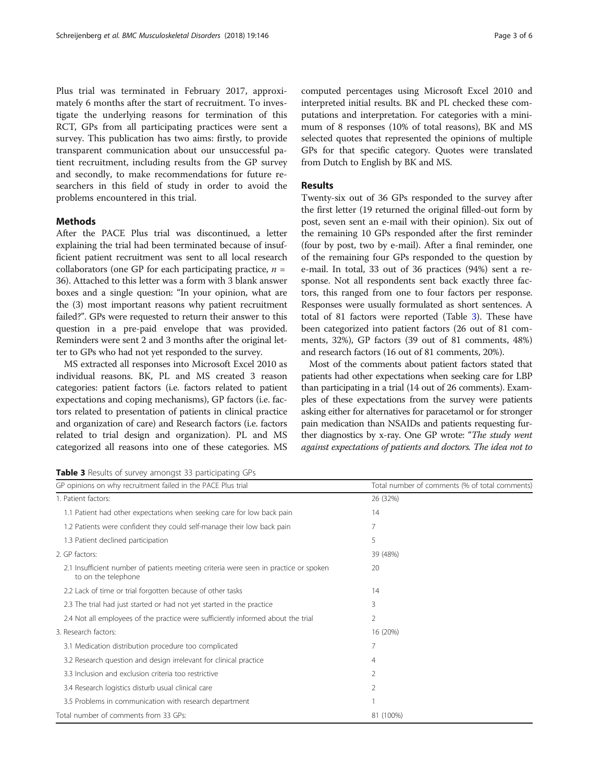Plus trial was terminated in February 2017, approximately 6 months after the start of recruitment. To investigate the underlying reasons for termination of this RCT, GPs from all participating practices were sent a survey. This publication has two aims: firstly, to provide transparent communication about our unsuccessful patient recruitment, including results from the GP survey and secondly, to make recommendations for future researchers in this field of study in order to avoid the problems encountered in this trial.

## Methods

After the PACE Plus trial was discontinued, a letter explaining the trial had been terminated because of insufficient patient recruitment was sent to all local research collaborators (one GP for each participating practice,  $n =$ 36). Attached to this letter was a form with 3 blank answer boxes and a single question: "In your opinion, what are the (3) most important reasons why patient recruitment failed?". GPs were requested to return their answer to this question in a pre-paid envelope that was provided. Reminders were sent 2 and 3 months after the original letter to GPs who had not yet responded to the survey.

MS extracted all responses into Microsoft Excel 2010 as individual reasons. BK, PL and MS created 3 reason categories: patient factors (i.e. factors related to patient expectations and coping mechanisms), GP factors (i.e. factors related to presentation of patients in clinical practice and organization of care) and Research factors (i.e. factors related to trial design and organization). PL and MS categorized all reasons into one of these categories. MS computed percentages using Microsoft Excel 2010 and interpreted initial results. BK and PL checked these computations and interpretation. For categories with a minimum of 8 responses (10% of total reasons), BK and MS selected quotes that represented the opinions of multiple GPs for that specific category. Quotes were translated from Dutch to English by BK and MS.

#### Results

Twenty-six out of 36 GPs responded to the survey after the first letter (19 returned the original filled-out form by post, seven sent an e-mail with their opinion). Six out of the remaining 10 GPs responded after the first reminder (four by post, two by e-mail). After a final reminder, one of the remaining four GPs responded to the question by e-mail. In total, 33 out of 36 practices (94%) sent a response. Not all respondents sent back exactly three factors, this ranged from one to four factors per response. Responses were usually formulated as short sentences. A total of 81 factors were reported (Table 3). These have been categorized into patient factors (26 out of 81 comments, 32%), GP factors (39 out of 81 comments, 48%) and research factors (16 out of 81 comments, 20%).

Most of the comments about patient factors stated that patients had other expectations when seeking care for LBP than participating in a trial (14 out of 26 comments). Examples of these expectations from the survey were patients asking either for alternatives for paracetamol or for stronger pain medication than NSAIDs and patients requesting further diagnostics by x-ray. One GP wrote: "The study went against expectations of patients and doctors. The idea not to

Table 3 Results of survey amongst 33 participating GPs

| GP opinions on why recruitment failed in the PACE Plus trial                                                | Total number of comments (% of total comments) |  |
|-------------------------------------------------------------------------------------------------------------|------------------------------------------------|--|
| 1. Patient factors:                                                                                         | 26 (32%)                                       |  |
| 1.1 Patient had other expectations when seeking care for low back pain                                      | 14                                             |  |
| 1.2 Patients were confident they could self-manage their low back pain                                      | 7                                              |  |
| 1.3 Patient declined participation                                                                          | 5                                              |  |
| 2. GP factors:                                                                                              | 39 (48%)                                       |  |
| 2.1 Insufficient number of patients meeting criteria were seen in practice or spoken<br>to on the telephone | 20                                             |  |
| 2.2 Lack of time or trial forgotten because of other tasks                                                  | 14                                             |  |
| 2.3 The trial had just started or had not yet started in the practice                                       | 3                                              |  |
| 2.4 Not all employees of the practice were sufficiently informed about the trial                            | $\overline{2}$                                 |  |
| 3. Research factors:                                                                                        | 16 (20%)                                       |  |
| 3.1 Medication distribution procedure too complicated                                                       | 7                                              |  |
| 3.2 Research question and design irrelevant for clinical practice                                           | 4                                              |  |
| 3.3 Inclusion and exclusion criteria too restrictive                                                        | 2                                              |  |
| 3.4 Research logistics disturb usual clinical care                                                          | $\mathcal{P}$                                  |  |
| 3.5 Problems in communication with research department                                                      |                                                |  |
| Total number of comments from 33 GPs:                                                                       | 81 (100%)                                      |  |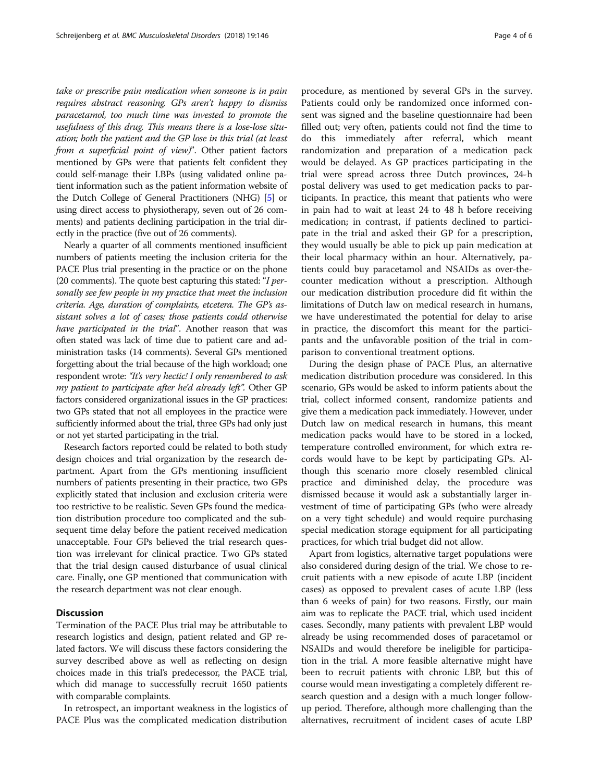take or prescribe pain medication when someone is in pain requires abstract reasoning. GPs aren't happy to dismiss paracetamol, too much time was invested to promote the usefulness of this drug. This means there is a lose-lose situation; both the patient and the GP lose in this trial (at least from a superficial point of view)". Other patient factors mentioned by GPs were that patients felt confident they could self-manage their LBPs (using validated online patient information such as the patient information website of the Dutch College of General Practitioners (NHG) [\[5\]](#page-5-0) or using direct access to physiotherapy, seven out of 26 comments) and patients declining participation in the trial directly in the practice (five out of 26 comments).

Nearly a quarter of all comments mentioned insufficient numbers of patients meeting the inclusion criteria for the PACE Plus trial presenting in the practice or on the phone (20 comments). The quote best capturing this stated: "I personally see few people in my practice that meet the inclusion criteria. Age, duration of complaints, etcetera. The GP's assistant solves a lot of cases; those patients could otherwise have participated in the trial". Another reason that was often stated was lack of time due to patient care and administration tasks (14 comments). Several GPs mentioned forgetting about the trial because of the high workload; one respondent wrote: "It's very hectic! I only remembered to ask my patient to participate after he'd already left". Other GP factors considered organizational issues in the GP practices: two GPs stated that not all employees in the practice were sufficiently informed about the trial, three GPs had only just or not yet started participating in the trial.

Research factors reported could be related to both study design choices and trial organization by the research department. Apart from the GPs mentioning insufficient numbers of patients presenting in their practice, two GPs explicitly stated that inclusion and exclusion criteria were too restrictive to be realistic. Seven GPs found the medication distribution procedure too complicated and the subsequent time delay before the patient received medication unacceptable. Four GPs believed the trial research question was irrelevant for clinical practice. Two GPs stated that the trial design caused disturbance of usual clinical care. Finally, one GP mentioned that communication with the research department was not clear enough.

## **Discussion**

Termination of the PACE Plus trial may be attributable to research logistics and design, patient related and GP related factors. We will discuss these factors considering the survey described above as well as reflecting on design choices made in this trial's predecessor, the PACE trial, which did manage to successfully recruit 1650 patients with comparable complaints.

In retrospect, an important weakness in the logistics of PACE Plus was the complicated medication distribution procedure, as mentioned by several GPs in the survey. Patients could only be randomized once informed consent was signed and the baseline questionnaire had been filled out; very often, patients could not find the time to do this immediately after referral, which meant randomization and preparation of a medication pack would be delayed. As GP practices participating in the trial were spread across three Dutch provinces, 24-h postal delivery was used to get medication packs to participants. In practice, this meant that patients who were in pain had to wait at least 24 to 48 h before receiving medication; in contrast, if patients declined to participate in the trial and asked their GP for a prescription, they would usually be able to pick up pain medication at their local pharmacy within an hour. Alternatively, patients could buy paracetamol and NSAIDs as over-thecounter medication without a prescription. Although our medication distribution procedure did fit within the limitations of Dutch law on medical research in humans, we have underestimated the potential for delay to arise in practice, the discomfort this meant for the participants and the unfavorable position of the trial in comparison to conventional treatment options.

During the design phase of PACE Plus, an alternative medication distribution procedure was considered. In this scenario, GPs would be asked to inform patients about the trial, collect informed consent, randomize patients and give them a medication pack immediately. However, under Dutch law on medical research in humans, this meant medication packs would have to be stored in a locked, temperature controlled environment, for which extra records would have to be kept by participating GPs. Although this scenario more closely resembled clinical practice and diminished delay, the procedure was dismissed because it would ask a substantially larger investment of time of participating GPs (who were already on a very tight schedule) and would require purchasing special medication storage equipment for all participating practices, for which trial budget did not allow.

Apart from logistics, alternative target populations were also considered during design of the trial. We chose to recruit patients with a new episode of acute LBP (incident cases) as opposed to prevalent cases of acute LBP (less than 6 weeks of pain) for two reasons. Firstly, our main aim was to replicate the PACE trial, which used incident cases. Secondly, many patients with prevalent LBP would already be using recommended doses of paracetamol or NSAIDs and would therefore be ineligible for participation in the trial. A more feasible alternative might have been to recruit patients with chronic LBP, but this of course would mean investigating a completely different research question and a design with a much longer followup period. Therefore, although more challenging than the alternatives, recruitment of incident cases of acute LBP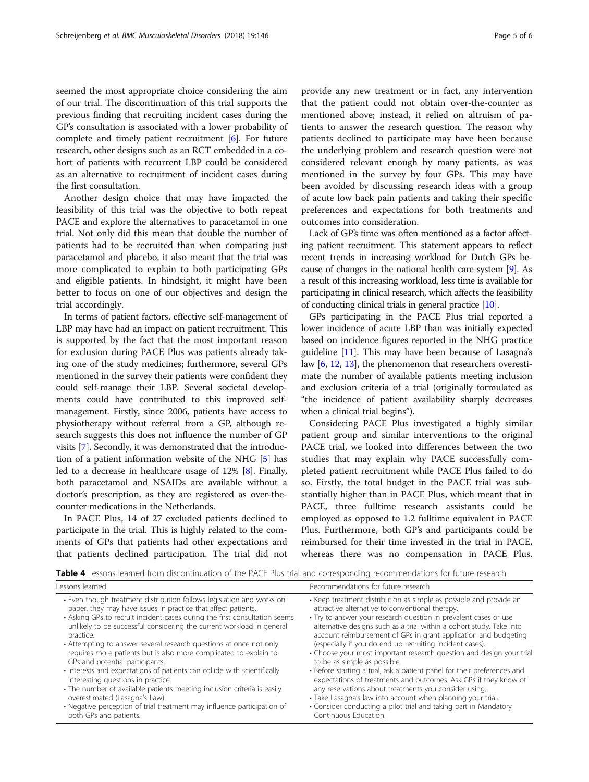<span id="page-4-0"></span>seemed the most appropriate choice considering the aim of our trial. The discontinuation of this trial supports the previous finding that recruiting incident cases during the GP's consultation is associated with a lower probability of complete and timely patient recruitment [[6](#page-5-0)]. For future research, other designs such as an RCT embedded in a cohort of patients with recurrent LBP could be considered as an alternative to recruitment of incident cases during the first consultation.

Another design choice that may have impacted the feasibility of this trial was the objective to both repeat PACE and explore the alternatives to paracetamol in one trial. Not only did this mean that double the number of patients had to be recruited than when comparing just paracetamol and placebo, it also meant that the trial was more complicated to explain to both participating GPs and eligible patients. In hindsight, it might have been better to focus on one of our objectives and design the trial accordingly.

In terms of patient factors, effective self-management of LBP may have had an impact on patient recruitment. This is supported by the fact that the most important reason for exclusion during PACE Plus was patients already taking one of the study medicines; furthermore, several GPs mentioned in the survey their patients were confident they could self-manage their LBP. Several societal developments could have contributed to this improved selfmanagement. Firstly, since 2006, patients have access to physiotherapy without referral from a GP, although research suggests this does not influence the number of GP visits [\[7](#page-5-0)]. Secondly, it was demonstrated that the introduction of a patient information website of the NHG [[5\]](#page-5-0) has led to a decrease in healthcare usage of 12% [\[8](#page-5-0)]. Finally, both paracetamol and NSAIDs are available without a doctor's prescription, as they are registered as over-thecounter medications in the Netherlands.

In PACE Plus, 14 of 27 excluded patients declined to participate in the trial. This is highly related to the comments of GPs that patients had other expectations and that patients declined participation. The trial did not provide any new treatment or in fact, any intervention that the patient could not obtain over-the-counter as mentioned above; instead, it relied on altruism of patients to answer the research question. The reason why patients declined to participate may have been because the underlying problem and research question were not considered relevant enough by many patients, as was mentioned in the survey by four GPs. This may have been avoided by discussing research ideas with a group of acute low back pain patients and taking their specific preferences and expectations for both treatments and outcomes into consideration.

Lack of GP's time was often mentioned as a factor affecting patient recruitment. This statement appears to reflect recent trends in increasing workload for Dutch GPs because of changes in the national health care system [\[9\]](#page-5-0). As a result of this increasing workload, less time is available for participating in clinical research, which affects the feasibility of conducting clinical trials in general practice [\[10\]](#page-5-0).

GPs participating in the PACE Plus trial reported a lower incidence of acute LBP than was initially expected based on incidence figures reported in the NHG practice guideline  $[11]$ . This may have been because of Lasagna's law [\[6](#page-5-0), [12,](#page-5-0) [13](#page-5-0)], the phenomenon that researchers overestimate the number of available patients meeting inclusion and exclusion criteria of a trial (originally formulated as "the incidence of patient availability sharply decreases when a clinical trial begins").

Considering PACE Plus investigated a highly similar patient group and similar interventions to the original PACE trial, we looked into differences between the two studies that may explain why PACE successfully completed patient recruitment while PACE Plus failed to do so. Firstly, the total budget in the PACE trial was substantially higher than in PACE Plus, which meant that in PACE, three fulltime research assistants could be employed as opposed to 1.2 fulltime equivalent in PACE Plus. Furthermore, both GP's and participants could be reimbursed for their time invested in the trial in PACE, whereas there was no compensation in PACE Plus.

Table 4 Lessons learned from discontinuation of the PACE Plus trial and corresponding recommendations for future research Lessons learned **Recommendations** for future research

| • Even though treatment distribution follows legislation and works on<br>paper, they may have issues in practice that affect patients.<br>• Asking GPs to recruit incident cases during the first consultation seems<br>unlikely to be successful considering the current workload in general<br>practice.<br>• Attempting to answer several research questions at once not only<br>requires more patients but is also more complicated to explain to<br>GPs and potential participants.<br>• Interests and expectations of patients can collide with scientifically<br>interesting questions in practice.<br>• The number of available patients meeting inclusion criteria is easily<br>overestimated (Lasagna's Law).<br>• Negative perception of trial treatment may influence participation of | • Keep treatment distribution as simple as possible and provide an<br>attractive alternative to conventional therapy.<br>• Try to answer your research question in prevalent cases or use<br>alternative designs such as a trial within a cohort study. Take into<br>account reimbursement of GPs in grant application and budgeting<br>(especially if you do end up recruiting incident cases).<br>• Choose your most important research question and design your trial<br>to be as simple as possible.<br>• Before starting a trial, ask a patient panel for their preferences and<br>expectations of treatments and outcomes. Ask GPs if they know of<br>any reservations about treatments you consider using.<br>• Take Lasagna's law into account when planning your trial.<br>• Consider conducting a pilot trial and taking part in Mandatory |
|----------------------------------------------------------------------------------------------------------------------------------------------------------------------------------------------------------------------------------------------------------------------------------------------------------------------------------------------------------------------------------------------------------------------------------------------------------------------------------------------------------------------------------------------------------------------------------------------------------------------------------------------------------------------------------------------------------------------------------------------------------------------------------------------------|------------------------------------------------------------------------------------------------------------------------------------------------------------------------------------------------------------------------------------------------------------------------------------------------------------------------------------------------------------------------------------------------------------------------------------------------------------------------------------------------------------------------------------------------------------------------------------------------------------------------------------------------------------------------------------------------------------------------------------------------------------------------------------------------------------------------------------------------------|
| both GPs and patients.                                                                                                                                                                                                                                                                                                                                                                                                                                                                                                                                                                                                                                                                                                                                                                             | Continuous Education.                                                                                                                                                                                                                                                                                                                                                                                                                                                                                                                                                                                                                                                                                                                                                                                                                                |